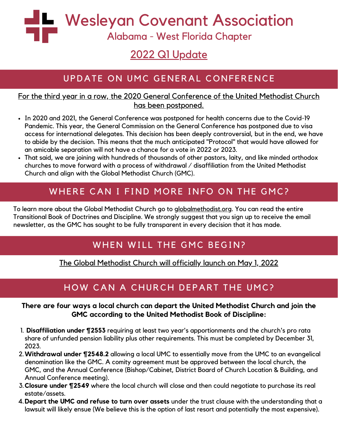Wesleyan Covenant Association

Alabama - West Florida Chapter

# 2022 Q1 Update

## UPDATE ON UMC GENERAL CONFERENCE

#### For the third year in a row, the 2020 General Conference of the United Methodist Church has been postponed.

- In 2020 and 2021, the General Conference was postponed for health concerns due to the Covid-19 Pandemic. This year, the General Commission on the General Conference has postponed due to visa access for international delegates. This decision has been deeply controversial, but in the end, we have to abide by the decision. This means that the much anticipated "Protocol" that would have allowed for an amicable separation will not have a chance for a vote in 2022 or 2023.
- That said, we are joining with hundreds of thousands of other pastors, laity, and like minded orthodox churches to move forward with a process of withdrawal / disaffiliation from the United Methodist Church and align with the Global Methodist Church (GMC).

## WHERE CAN I FIND MORE INFO ON THE GMC?

To learn more about the Global Methodist Church go to globalmethodist.org. You can read the entire Transitional Book of Doctrines and Discipline. We strongly suggest that you sign up to receive the email newsletter, as the GMC has sought to be fully transparent in every decision that it has made.

## WHEN WILL THE GMC BEGIN?

The Global Methodist Church will officially launch on May 1, 2022

## HOW CAN A CHURCH DEPART THE UMC?

#### **There are four ways a local church can depart the United Methodist Church and join the GMC according to the United Methodist Book of Discipline:**

- **Disaffiliation under ¶2553** requiring at least two year's apportionments and the church's pro rata 1. share of unfunded pension liability plus other requirements. This must be completed by December 31, 2023.
- **Withdrawal under ¶2548.2** allowing a local UMC to essentially move from the UMC to an evangelical 2. denomination like the GMC. A comity agreement must be approved between the local church, the GMC, and the Annual Conference (Bishop/Cabinet, District Board of Church Location & Building, and Annual Conference meeting).
- **Closure under ¶2549** where the local church will close and then could negotiate to purchase its real 3. estate/assets.
- **Depart the UMC and refuse to turn over assets** under the trust clause with the understanding that a 4.lawsuit will likely ensue (We believe this is the option of last resort and potentially the most expensive).